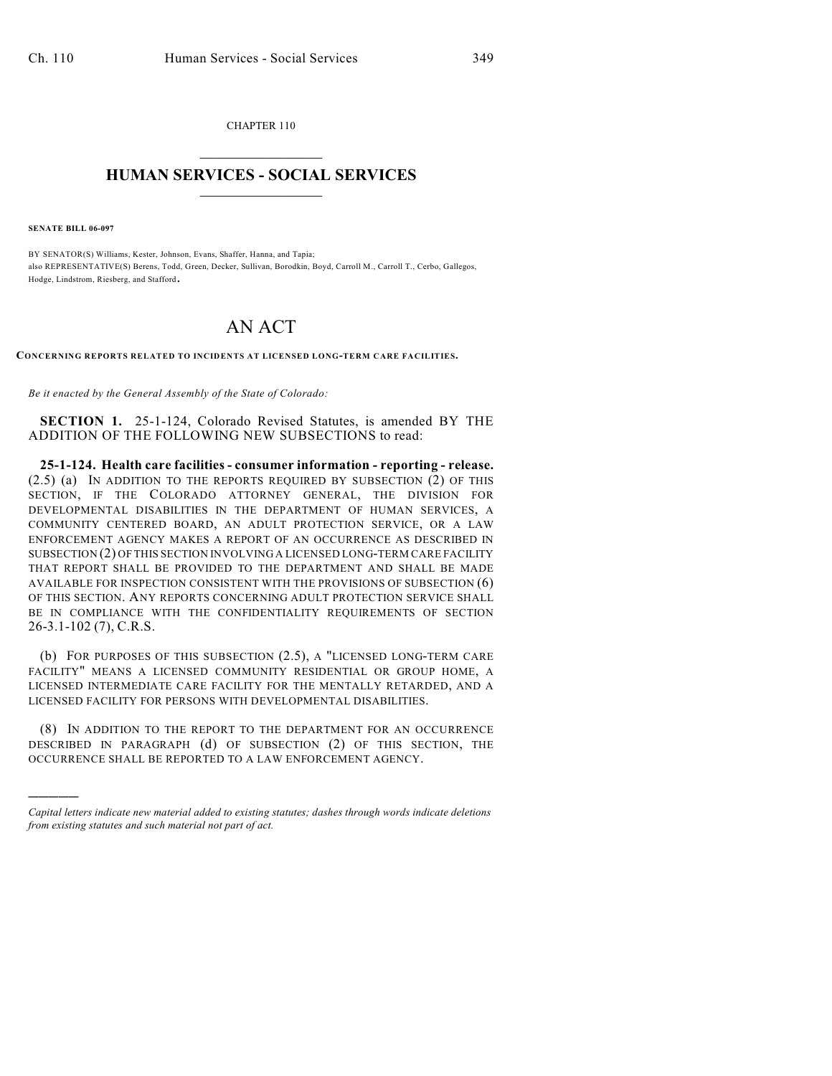CHAPTER 110  $\mathcal{L}_\text{max}$  . The set of the set of the set of the set of the set of the set of the set of the set of the set of the set of the set of the set of the set of the set of the set of the set of the set of the set of the set

## **HUMAN SERVICES - SOCIAL SERVICES**  $\frac{1}{2}$  ,  $\frac{1}{2}$  ,  $\frac{1}{2}$  ,  $\frac{1}{2}$  ,  $\frac{1}{2}$  ,  $\frac{1}{2}$  ,  $\frac{1}{2}$

**SENATE BILL 06-097**

)))))

BY SENATOR(S) Williams, Kester, Johnson, Evans, Shaffer, Hanna, and Tapia; also REPRESENTATIVE(S) Berens, Todd, Green, Decker, Sullivan, Borodkin, Boyd, Carroll M., Carroll T., Cerbo, Gallegos, Hodge, Lindstrom, Riesberg, and Stafford.

## AN ACT

**CONCERNING REPORTS RELATED TO INCIDENTS AT LICENSED LONG-TERM CARE FACILITIES.**

*Be it enacted by the General Assembly of the State of Colorado:*

**SECTION 1.** 25-1-124, Colorado Revised Statutes, is amended BY THE ADDITION OF THE FOLLOWING NEW SUBSECTIONS to read:

**25-1-124. Health care facilities - consumer information - reporting - release.** (2.5) (a) IN ADDITION TO THE REPORTS REQUIRED BY SUBSECTION (2) OF THIS SECTION, IF THE COLORADO ATTORNEY GENERAL, THE DIVISION FOR DEVELOPMENTAL DISABILITIES IN THE DEPARTMENT OF HUMAN SERVICES, A COMMUNITY CENTERED BOARD, AN ADULT PROTECTION SERVICE, OR A LAW ENFORCEMENT AGENCY MAKES A REPORT OF AN OCCURRENCE AS DESCRIBED IN SUBSECTION (2) OF THIS SECTION INVOLVING A LICENSED LONG-TERM CARE FACILITY THAT REPORT SHALL BE PROVIDED TO THE DEPARTMENT AND SHALL BE MADE AVAILABLE FOR INSPECTION CONSISTENT WITH THE PROVISIONS OF SUBSECTION (6) OF THIS SECTION. ANY REPORTS CONCERNING ADULT PROTECTION SERVICE SHALL BE IN COMPLIANCE WITH THE CONFIDENTIALITY REQUIREMENTS OF SECTION 26-3.1-102 (7), C.R.S.

(b) FOR PURPOSES OF THIS SUBSECTION (2.5), A "LICENSED LONG-TERM CARE FACILITY" MEANS A LICENSED COMMUNITY RESIDENTIAL OR GROUP HOME, A LICENSED INTERMEDIATE CARE FACILITY FOR THE MENTALLY RETARDED, AND A LICENSED FACILITY FOR PERSONS WITH DEVELOPMENTAL DISABILITIES.

(8) IN ADDITION TO THE REPORT TO THE DEPARTMENT FOR AN OCCURRENCE DESCRIBED IN PARAGRAPH (d) OF SUBSECTION (2) OF THIS SECTION, THE OCCURRENCE SHALL BE REPORTED TO A LAW ENFORCEMENT AGENCY.

*Capital letters indicate new material added to existing statutes; dashes through words indicate deletions from existing statutes and such material not part of act.*